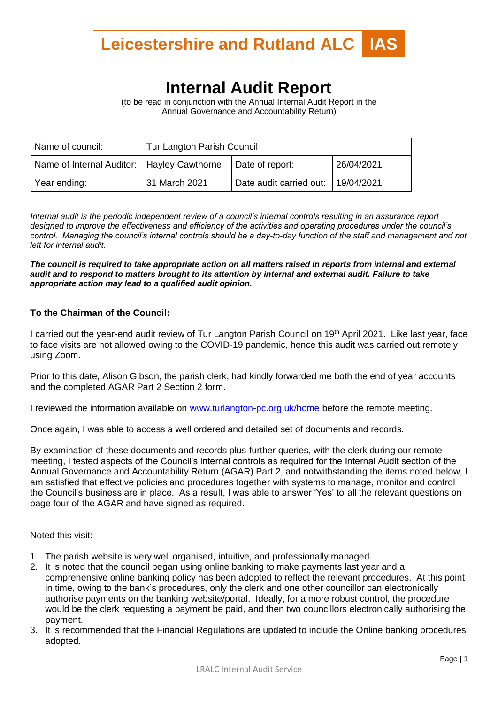

## **Internal Audit Report**

(to be read in conjunction with the Annual Internal Audit Report in the Annual Governance and Accountability Return)

| Name of council:                             | Tur Langton Parish Council |                                    |            |
|----------------------------------------------|----------------------------|------------------------------------|------------|
| Name of Internal Auditor:   Hayley Cawthorne |                            | Date of report:                    | 26/04/2021 |
| Year ending:                                 | 31 March 2021              | Date audit carried out: 19/04/2021 |            |

*Internal audit is the periodic independent review of a council's internal controls resulting in an assurance report designed to improve the effectiveness and efficiency of the activities and operating procedures under the council's control. Managing the council's internal controls should be a day-to-day function of the staff and management and not left for internal audit.*

*The council is required to take appropriate action on all matters raised in reports from internal and external audit and to respond to matters brought to its attention by internal and external audit. Failure to take appropriate action may lead to a qualified audit opinion.*

## **To the Chairman of the Council:**

I carried out the year-end audit review of Tur Langton Parish Council on 19<sup>th</sup> April 2021. Like last year, face to face visits are not allowed owing to the COVID-19 pandemic, hence this audit was carried out remotely using Zoom.

Prior to this date, Alison Gibson, the parish clerk, had kindly forwarded me both the end of year accounts and the completed AGAR Part 2 Section 2 form.

I reviewed the information available on www.turlangton-pc.org.uk/home before the remote meeting.

Once again, I was able to access a well ordered and detailed set of documents and records.

By examination of these documents and records plus further queries, with the clerk during our remote meeting, I tested aspects of the Council's internal controls as required for the Internal Audit section of the Annual Governance and Accountability Return (AGAR) Part 2, and notwithstanding the items noted below, I am satisfied that effective policies and procedures together with systems to manage, monitor and control the Council's business are in place. As a result, I was able to answer 'Yes' to all the relevant questions on page four of the AGAR and have signed as required.

Noted this visit:

- 1. The parish website is very well organised, intuitive, and professionally managed.
- 2. It is noted that the council began using online banking to make payments last year and a comprehensive online banking policy has been adopted to reflect the relevant procedures. At this point in time, owing to the bank's procedures, only the clerk and one other councillor can electronically authorise payments on the banking website/portal. Ideally, for a more robust control, the procedure would be the clerk requesting a payment be paid, and then two councillors electronically authorising the payment.
- 3. It is recommended that the Financial Regulations are updated to include the Online banking procedures adopted.